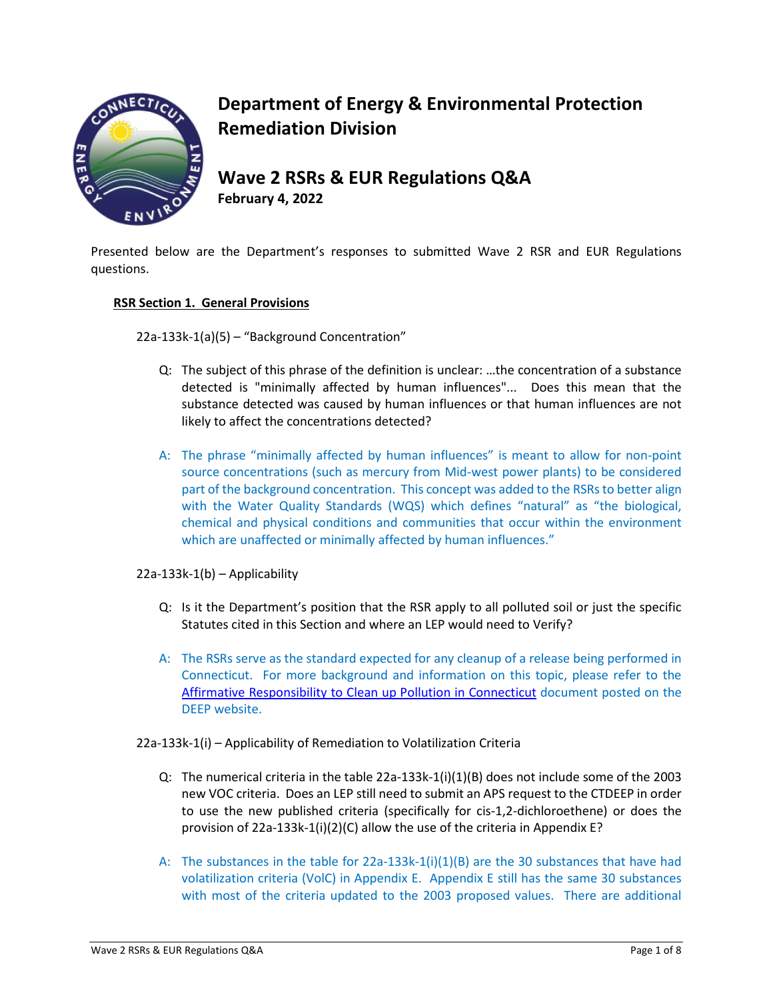

# **Department of Energy & Environmental Protection Remediation Division**

# **Wave 2 RSRs & EUR Regulations Q&A**

**February 4, 2022** 

Presented below are the Department's responses to submitted Wave 2 RSR and EUR Regulations questions.

## **RSR Section 1. General Provisions**

22a-133k-1(a)(5) – "Background Concentration"

- Q: The subject of this phrase of the definition is unclear: …the concentration of a substance detected is "minimally affected by human influences"... Does this mean that the substance detected was caused by human influences or that human influences are not likely to affect the concentrations detected?
- A: The phrase "minimally affected by human influences" is meant to allow for non-point source concentrations (such as mercury from Mid-west power plants) to be considered part of the background concentration. This concept was added to the RSRs to better align with the Water Quality Standards (WQS) which defines "natural" as "the biological, chemical and physical conditions and communities that occur within the environment which are unaffected or minimally affected by human influences."

# 22a-133k-1(b) – Applicability

- Q: Is it the Department's position that the RSR apply to all polluted soil or just the specific Statutes cited in this Section and where an LEP would need to Verify?
- A: The RSRs serve as the standard expected for any cleanup of a release being performed in Connecticut. For more background and information on this topic, please refer to the [Affirmative Responsibility to Clean up Pollution in Connecticut](https://portal.ct.gov/-/media/DEEP/site_clean_up/remediation_regulations/Affirmative-Responsibility-to-Clean-up-Pollution-in-Connecticut.pdf) document posted on the DEEP website.
- 22a-133k-1(i) Applicability of Remediation to Volatilization Criteria
	- Q: The numerical criteria in the table 22a-133k-1(i)(1)(B) does not include some of the 2003 new VOC criteria. Does an LEP still need to submit an APS request to the CTDEEP in order to use the new published criteria (specifically for cis-1,2-dichloroethene) or does the provision of 22a-133k-1(i)(2)(C) allow the use of the criteria in Appendix E?
	- A: The substances in the table for 22a-133k-1(i)(1)(B) are the 30 substances that have had volatilization criteria (VolC) in Appendix E. Appendix E still has the same 30 substances with most of the criteria updated to the 2003 proposed values. There are additional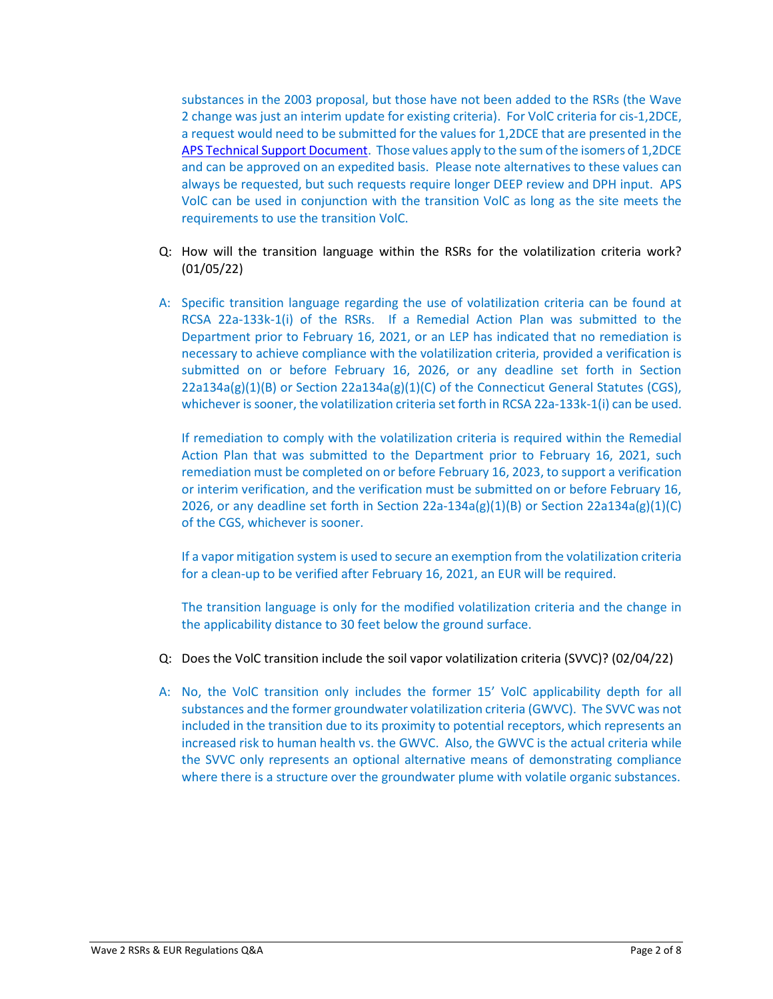substances in the 2003 proposal, but those have not been added to the RSRs (the Wave 2 change was just an interim update for existing criteria). For VolC criteria for cis-1,2DCE, a request would need to be submitted for the values for 1,2DCE that are presented in the APS Technical [Support Document.](https://portal.ct.gov/-/media/DEEP/site_clean_up/remediation_regulations/TechnicalSupportDocumentAPSAltCriteriapdf.pdf) Those values apply to the sum of the isomers of 1,2DCE and can be approved on an expedited basis. Please note alternatives to these values can always be requested, but such requests require longer DEEP review and DPH input. APS VolC can be used in conjunction with the transition VolC as long as the site meets the requirements to use the transition VolC.

- Q: How will the transition language within the RSRs for the volatilization criteria work? (01/05/22)
- A: Specific transition language regarding the use of volatilization criteria can be found at RCSA 22a-133k-1(i) of the RSRs. If a Remedial Action Plan was submitted to the Department prior to February 16, 2021, or an LEP has indicated that no remediation is necessary to achieve compliance with the volatilization criteria, provided a verification is submitted on or before February 16, 2026, or any deadline set forth in Section  $22a134a(g)(1)(B)$  or Section  $22a134a(g)(1)(C)$  of the Connecticut General Statutes (CGS), whichever is sooner, the volatilization criteria set forth in RCSA 22a-133k-1(i) can be used.

If remediation to comply with the volatilization criteria is required within the Remedial Action Plan that was submitted to the Department prior to February 16, 2021, such remediation must be completed on or before February 16, 2023, to support a verification or interim verification, and the verification must be submitted on or before February 16, 2026, or any deadline set forth in Section 22a-134a(g)(1)(B) or Section 22a134a(g)(1)(C) of the CGS, whichever is sooner.

If a vapor mitigation system is used to secure an exemption from the volatilization criteria for a clean-up to be verified after February 16, 2021, an EUR will be required.

The transition language is only for the modified volatilization criteria and the change in the applicability distance to 30 feet below the ground surface.

- Q: Does the VolC transition include the soil vapor volatilization criteria (SVVC)? (02/04/22)
- A: No, the VolC transition only includes the former 15' VolC applicability depth for all substances and the former groundwater volatilization criteria (GWVC). The SVVC was not included in the transition due to its proximity to potential receptors, which represents an increased risk to human health vs. the GWVC. Also, the GWVC is the actual criteria while the SVVC only represents an optional alternative means of demonstrating compliance where there is a structure over the groundwater plume with volatile organic substances.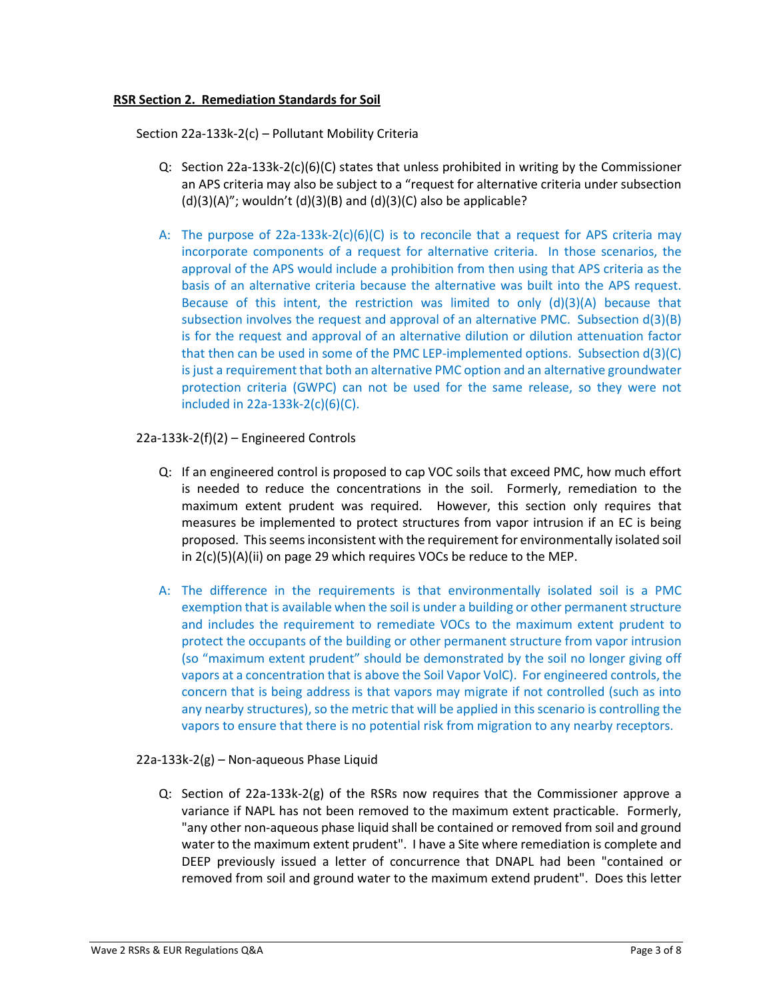#### **RSR Section 2. Remediation Standards for Soil**

Section 22a-133k-2(c) – Pollutant Mobility Criteria

- Q: Section 22a-133k-2(c)(6)(C) states that unless prohibited in writing by the Commissioner an APS criteria may also be subject to a "request for alternative criteria under subsection  $(d)(3)(A)$ "; wouldn't  $(d)(3)(B)$  and  $(d)(3)(C)$  also be applicable?
- A: The purpose of  $22a-133k-2(c)(6)(C)$  is to reconcile that a request for APS criteria may incorporate components of a request for alternative criteria. In those scenarios, the approval of the APS would include a prohibition from then using that APS criteria as the basis of an alternative criteria because the alternative was built into the APS request. Because of this intent, the restriction was limited to only  $(d)(3)(A)$  because that subsection involves the request and approval of an alternative PMC. Subsection  $d(3)(B)$ is for the request and approval of an alternative dilution or dilution attenuation factor that then can be used in some of the PMC LEP-implemented options. Subsection d(3)(C) is just a requirement that both an alternative PMC option and an alternative groundwater protection criteria (GWPC) can not be used for the same release, so they were not included in 22a-133k-2(c)(6)(C).

#### 22a-133k-2(f)(2) – Engineered Controls

- Q: If an engineered control is proposed to cap VOC soils that exceed PMC, how much effort is needed to reduce the concentrations in the soil. Formerly, remediation to the maximum extent prudent was required. However, this section only requires that measures be implemented to protect structures from vapor intrusion if an EC is being proposed. This seems inconsistent with the requirement for environmentally isolated soil in 2(c)(5)(A)(ii) on page 29 which requires VOCs be reduce to the MEP.
- A: The difference in the requirements is that environmentally isolated soil is a PMC exemption that is available when the soil is under a building or other permanent structure and includes the requirement to remediate VOCs to the maximum extent prudent to protect the occupants of the building or other permanent structure from vapor intrusion (so "maximum extent prudent" should be demonstrated by the soil no longer giving off vapors at a concentration that is above the Soil Vapor VolC). For engineered controls, the concern that is being address is that vapors may migrate if not controlled (such as into any nearby structures), so the metric that will be applied in this scenario is controlling the vapors to ensure that there is no potential risk from migration to any nearby receptors.

#### 22a-133k-2(g) – Non-aqueous Phase Liquid

Q: Section of 22a-133k-2(g) of the RSRs now requires that the Commissioner approve a variance if NAPL has not been removed to the maximum extent practicable. Formerly, "any other non-aqueous phase liquid shall be contained or removed from soil and ground water to the maximum extent prudent". I have a Site where remediation is complete and DEEP previously issued a letter of concurrence that DNAPL had been "contained or removed from soil and ground water to the maximum extend prudent". Does this letter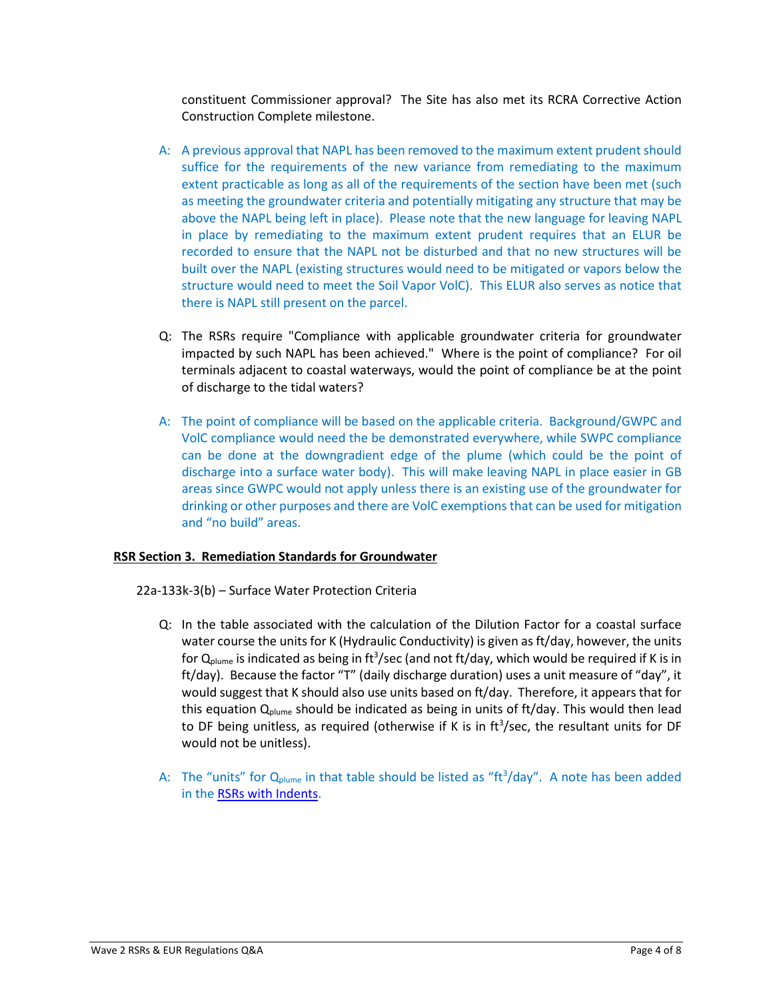constituent Commissioner approval? The Site has also met its RCRA Corrective Action Construction Complete milestone.

- A: A previous approval that NAPL has been removed to the maximum extent prudent should suffice for the requirements of the new variance from remediating to the maximum extent practicable as long as all of the requirements of the section have been met (such as meeting the groundwater criteria and potentially mitigating any structure that may be above the NAPL being left in place). Please note that the new language for leaving NAPL in place by remediating to the maximum extent prudent requires that an ELUR be recorded to ensure that the NAPL not be disturbed and that no new structures will be built over the NAPL (existing structures would need to be mitigated or vapors below the structure would need to meet the Soil Vapor VolC). This ELUR also serves as notice that there is NAPL still present on the parcel.
- Q: The RSRs require "Compliance with applicable groundwater criteria for groundwater impacted by such NAPL has been achieved." Where is the point of compliance? For oil terminals adjacent to coastal waterways, would the point of compliance be at the point of discharge to the tidal waters?
- A: The point of compliance will be based on the applicable criteria. Background/GWPC and VolC compliance would need the be demonstrated everywhere, while SWPC compliance can be done at the downgradient edge of the plume (which could be the point of discharge into a surface water body). This will make leaving NAPL in place easier in GB areas since GWPC would not apply unless there is an existing use of the groundwater for drinking or other purposes and there are VolC exemptions that can be used for mitigation and "no build" areas.

## **RSR Section 3. Remediation Standards for Groundwater**

22a-133k-3(b) – Surface Water Protection Criteria

- Q: In the table associated with the calculation of the Dilution Factor for a coastal surface water course the units for K (Hydraulic Conductivity) is given as ft/day, however, the units for  $Q_{\text{plume}}$  is indicated as being in ft<sup>3</sup>/sec (and not ft/day, which would be required if K is in ft/day). Because the factor "T" (daily discharge duration) uses a unit measure of "day", it would suggest that K should also use units based on ft/day. Therefore, it appears that for this equation  $Q_{\text{plane}}$  should be indicated as being in units of ft/day. This would then lead to DF being unitless, as required (otherwise if K is in  $\text{ft}^3/\text{sec}$ , the resultant units for DF would not be unitless).
- A: The "units" for  $Q_{plane}$  in that table should be listed as "ft<sup>3</sup>/day". A note has been added in the [RSRs with Indents.](https://portal.ct.gov/-/media/DEEP/site_clean_up/remediation_regulations/RSR_2-16-21-with-indents.pdf)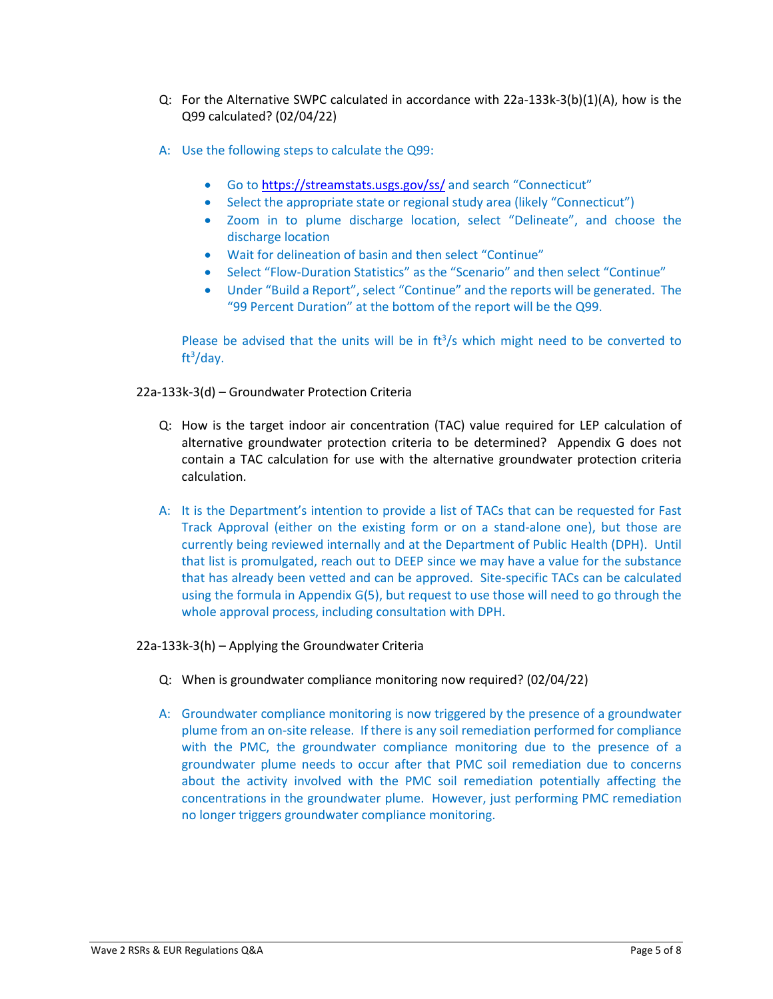- Q: For the Alternative SWPC calculated in accordance with 22a-133k-3(b)(1)(A), how is the Q99 calculated? (02/04/22)
- A: Use the following steps to calculate the Q99:
	- Go to<https://streamstats.usgs.gov/ss/> and search "Connecticut"
	- Select the appropriate state or regional study area (likely "Connecticut")
	- Zoom in to plume discharge location, select "Delineate", and choose the discharge location
	- Wait for delineation of basin and then select "Continue"
	- Select "Flow-Duration Statistics" as the "Scenario" and then select "Continue"
	- Under "Build a Report", select "Continue" and the reports will be generated. The "99 Percent Duration" at the bottom of the report will be the Q99.

Please be advised that the units will be in  $ft^3/s$  which might need to be converted to ft3 /day.

## 22a-133k-3(d) – Groundwater Protection Criteria

- Q: How is the target indoor air concentration (TAC) value required for LEP calculation of alternative groundwater protection criteria to be determined? Appendix G does not contain a TAC calculation for use with the alternative groundwater protection criteria calculation.
- A: It is the Department's intention to provide a list of TACs that can be requested for Fast Track Approval (either on the existing form or on a stand-alone one), but those are currently being reviewed internally and at the Department of Public Health (DPH). Until that list is promulgated, reach out to DEEP since we may have a value for the substance that has already been vetted and can be approved. Site-specific TACs can be calculated using the formula in Appendix G(5), but request to use those will need to go through the whole approval process, including consultation with DPH.

22a-133k-3(h) – Applying the Groundwater Criteria

- Q: When is groundwater compliance monitoring now required? (02/04/22)
- A: Groundwater compliance monitoring is now triggered by the presence of a groundwater plume from an on-site release. If there is any soil remediation performed for compliance with the PMC, the groundwater compliance monitoring due to the presence of a groundwater plume needs to occur after that PMC soil remediation due to concerns about the activity involved with the PMC soil remediation potentially affecting the concentrations in the groundwater plume. However, just performing PMC remediation no longer triggers groundwater compliance monitoring.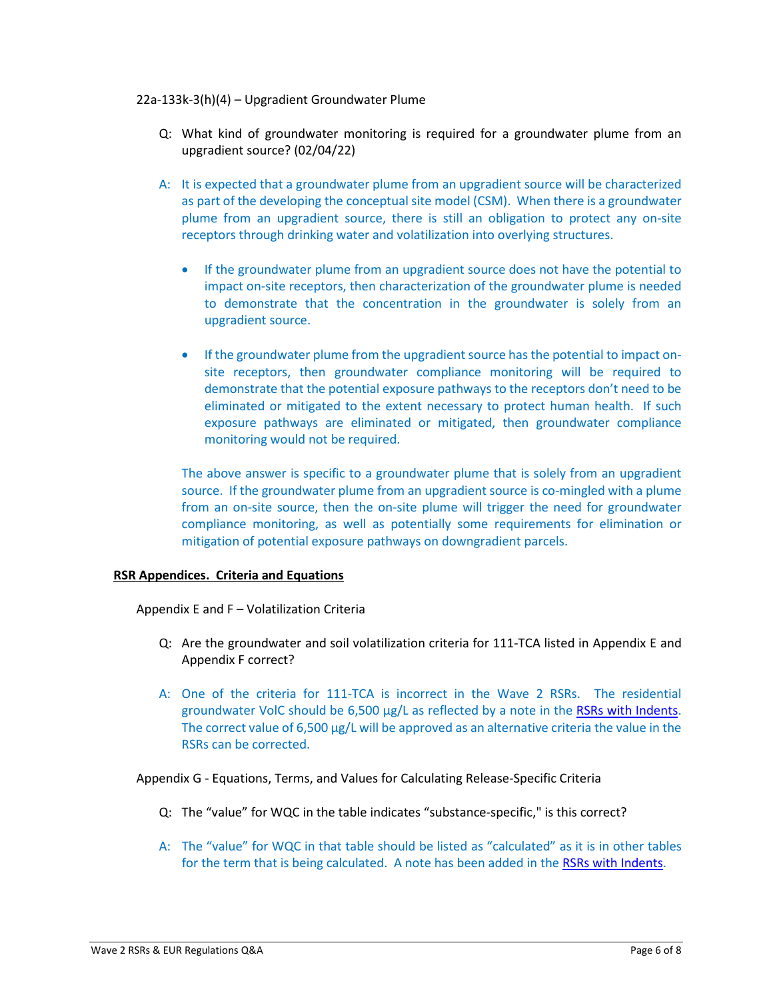#### 22a-133k-3(h)(4) – Upgradient Groundwater Plume

- Q: What kind of groundwater monitoring is required for a groundwater plume from an upgradient source? (02/04/22)
- A: It is expected that a groundwater plume from an upgradient source will be characterized as part of the developing the conceptual site model (CSM). When there is a groundwater plume from an upgradient source, there is still an obligation to protect any on-site receptors through drinking water and volatilization into overlying structures.
	- If the groundwater plume from an upgradient source does not have the potential to impact on-site receptors, then characterization of the groundwater plume is needed to demonstrate that the concentration in the groundwater is solely from an upgradient source.
	- If the groundwater plume from the upgradient source has the potential to impact onsite receptors, then groundwater compliance monitoring will be required to demonstrate that the potential exposure pathways to the receptors don't need to be eliminated or mitigated to the extent necessary to protect human health. If such exposure pathways are eliminated or mitigated, then groundwater compliance monitoring would not be required.

The above answer is specific to a groundwater plume that is solely from an upgradient source. If the groundwater plume from an upgradient source is co-mingled with a plume from an on-site source, then the on-site plume will trigger the need for groundwater compliance monitoring, as well as potentially some requirements for elimination or mitigation of potential exposure pathways on downgradient parcels.

## **RSR Appendices. Criteria and Equations**

Appendix E and F – Volatilization Criteria

- Q: Are the groundwater and soil volatilization criteria for 111-TCA listed in Appendix E and Appendix F correct?
- A: One of the criteria for 111-TCA is incorrect in the Wave 2 RSRs. The residential groundwater VolC should be 6,500 µg/L as reflected by a note in the [RSRs with Indents.](https://portal.ct.gov/-/media/DEEP/site_clean_up/remediation_regulations/RSR_2-16-21-with-indents.pdf) The correct value of 6,500 µg/L will be approved as an alternative criteria the value in the RSRs can be corrected.

Appendix G - Equations, Terms, and Values for Calculating Release-Specific Criteria

- Q: The "value" for WQC in the table indicates "substance-specific," is this correct?
- A: The "value" for WQC in that table should be listed as "calculated" as it is in other tables for the term that is being calculated. A note has been added in th[e RSRs with Indents.](https://portal.ct.gov/-/media/DEEP/site_clean_up/remediation_regulations/RSR_2-16-21-with-indents.pdf)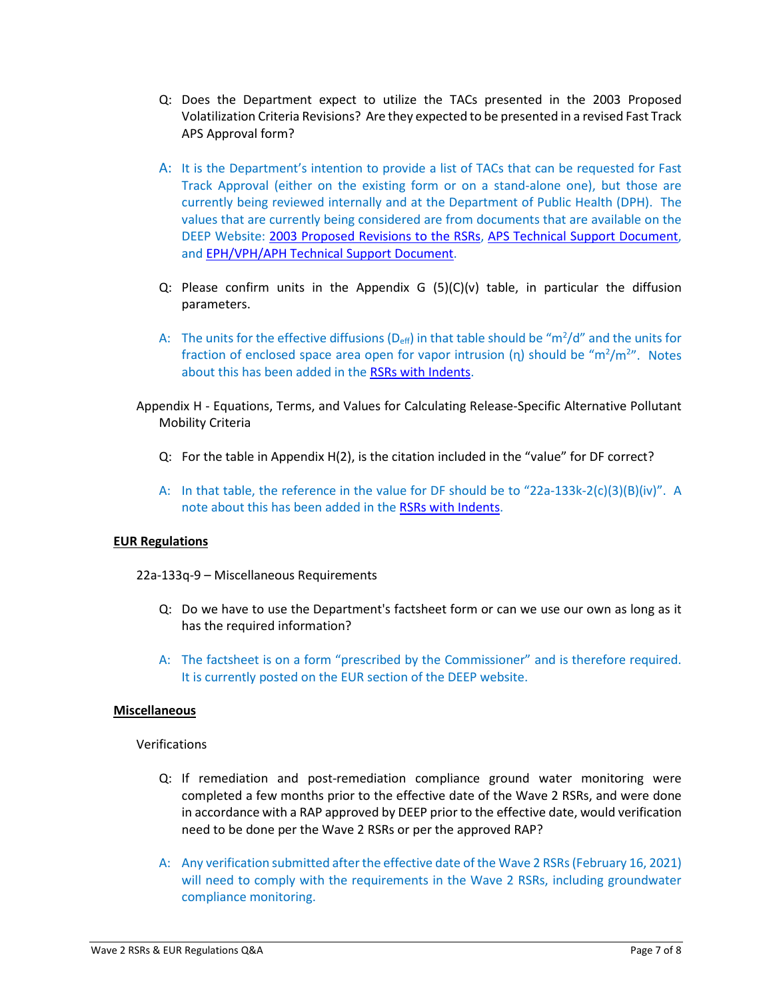- Q: Does the Department expect to utilize the TACs presented in the 2003 Proposed Volatilization Criteria Revisions? Are they expected to be presented in a revised Fast Track APS Approval form?
- A: It is the Department's intention to provide a list of TACs that can be requested for Fast Track Approval (either on the existing form or on a stand-alone one), but those are currently being reviewed internally and at the Department of Public Health (DPH). The values that are currently being considered are from documents that are available on the DEEP Website: [2003 Proposed Revisions to the RSRs,](https://portal.ct.gov/-/media/DEEP/site_clean_up/remediation_regulations/2003ProposedResVolCriteriapdf.pdf) [APS Technical Support Document,](https://portal.ct.gov/-/media/DEEP/site_clean_up/remediation_regulations/TechnicalSupportDocumentAPSAltCriteriapdf.pdf)  and [EPH/VPH/APH Technical Support Document.](https://portal.ct.gov/-/media/DEEP/site_clean_up/remediation_regulations/TechnicalSupportDocumentEPHVPHAPHpdf.pdf)
- Q: Please confirm units in the Appendix G  $(5)(C)(v)$  table, in particular the diffusion parameters.
- A: The units for the effective diffusions ( $D_{\text{eff}}$ ) in that table should be "m<sup>2</sup>/d" and the units for fraction of enclosed space area open for vapor intrusion  $(\eta)$  should be "m<sup>2</sup>/m<sup>2</sup>". Notes about this has been added in the [RSRs with Indents.](https://portal.ct.gov/-/media/DEEP/site_clean_up/remediation_regulations/RSR_2-16-21-with-indents.pdf)
- Appendix H Equations, Terms, and Values for Calculating Release-Specific Alternative Pollutant Mobility Criteria
	- Q: For the table in Appendix H(2), is the citation included in the "value" for DF correct?
	- A: In that table, the reference in the value for DF should be to "22a-133k-2(c)(3)(B)(iv)". A note about this has been added in the [RSRs with Indents.](https://portal.ct.gov/-/media/DEEP/site_clean_up/remediation_regulations/RSR_2-16-21-with-indents.pdf)

## **EUR Regulations**

22a-133q-9 – Miscellaneous Requirements

- Q: Do we have to use the Department's factsheet form or can we use our own as long as it has the required information?
- A: The factsheet is on a form "prescribed by the Commissioner" and is therefore required. It is currently posted on the EUR section of the DEEP website.

#### **Miscellaneous**

## Verifications

- Q: If remediation and post-remediation compliance ground water monitoring were completed a few months prior to the effective date of the Wave 2 RSRs, and were done in accordance with a RAP approved by DEEP prior to the effective date, would verification need to be done per the Wave 2 RSRs or per the approved RAP?
- A: Any verification submitted after the effective date of the Wave 2 RSRs(February 16, 2021) will need to comply with the requirements in the Wave 2 RSRs, including groundwater compliance monitoring.